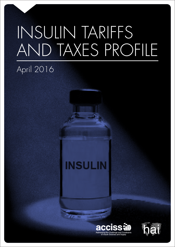# INSULIN TARIFFS AND TAXES PROFILE

# April 2016

# **INSULIN**



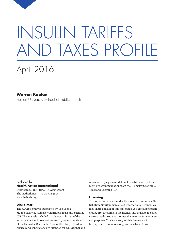# INSULIN TARIFFS AND TAXES PROFILE

# April 2016

#### **Warren Kaplan**

Boston University School of Public Health

Published by **Health Action International**

Overtoom 60 (2) | 1054 HK Amsterdam The Netherlands | +31 20 412 4523 www.haiweb.org

#### **Disclaimer**

The ACCISS Study is supported by The Leona M. and Harry B. Helmsley Charitable Trust and Stichting ICF. The analysis included in this report is that of the authors alone and does not necessarily reflect the views of the Helmsley Charitable Trust or Stichting ICF. All references and conclusions are intended for educational and

informative purposes and do not constitute an endorsement or recommendation from the Helmsley Charitable Trust and Stichting ICF.

#### **Licensing**

This report is licensed under the Creative Commons Attribution-NonCommercial 4.0 International Licence. You may share and adapt this material if you give appropriate credit, provide a link to the licence, and indicate if changes were made. You may not use the material for commercial purposes. To view a copy of this licence, visit http://creativecommons.org/licenses/by-nc/4.0/.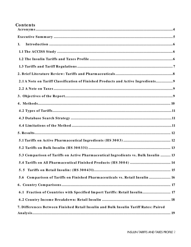#### **Co n te n ts**

| 1.                                                                                   |
|--------------------------------------------------------------------------------------|
|                                                                                      |
|                                                                                      |
|                                                                                      |
|                                                                                      |
| 2.1 A Note on Tariff Classification of Finished Products and Active Ingredients 9    |
|                                                                                      |
|                                                                                      |
|                                                                                      |
|                                                                                      |
|                                                                                      |
|                                                                                      |
|                                                                                      |
|                                                                                      |
|                                                                                      |
| 5.3 Comparison of Tariffs on Active Pharmaceutical Ingredients vs. Bulk Insulin  13  |
|                                                                                      |
|                                                                                      |
| 5.6 Comparison of Tariffs on Finished Pharmaceuticals vs. Retail Insulin  16         |
|                                                                                      |
| 6.1 Fraction of Countries with Specified Import Tariffs: Retail Insulin 17           |
|                                                                                      |
| 7. Differences Between Finished Retail Insulin and Bulk Insulin Tariff Rates: Paired |
|                                                                                      |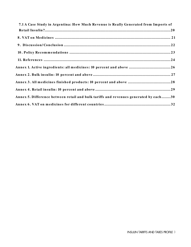| 7.1 A Case Study in Argentina: How Much Revenue is Really Generated from Imports of  |  |
|--------------------------------------------------------------------------------------|--|
|                                                                                      |  |
|                                                                                      |  |
|                                                                                      |  |
|                                                                                      |  |
|                                                                                      |  |
| Annex 1. Active ingredients: all medicines: 10 percent and above 26                  |  |
|                                                                                      |  |
|                                                                                      |  |
|                                                                                      |  |
| Annex 5. Difference between retail and bulk tariffs and revenues generated by each30 |  |
|                                                                                      |  |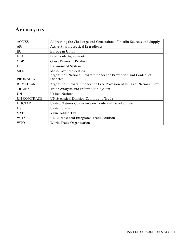### <span id="page-4-0"></span>**Acro n ym s**

| <b>ACCISS</b>      | Addressing the Challenge and Constraints of Insulin Sources and Supply       |
|--------------------|------------------------------------------------------------------------------|
| <b>API</b>         | <b>Active Pharmaceutical Ingredients</b>                                     |
| EU                 | European Union                                                               |
| <b>FTA</b>         | Free Trade Agreements                                                        |
| <b>GDP</b>         | Gross Domestic Product                                                       |
| <b>HS</b>          | Harmonized System                                                            |
| <b>MFN</b>         | Most-Favoured-Nation                                                         |
| <b>PRONADIA</b>    | Argentina's National Programme for the Prevention and Control of<br>Diabetes |
| <b>REMEDIAR</b>    | Argentina's Programme for the Free Provision of Drugs at National Level      |
| <b>TRAINS</b>      | Trade Analysis and Information System                                        |
| <b>UN</b>          | <b>United Nations</b>                                                        |
| <b>UN COMTRADE</b> | UN Statistical Division Commodity Trade                                      |
| <b>UNCTAD</b>      | United Nations Conference on Trade and Development                           |
| <b>US</b>          | <b>United States</b>                                                         |
| <b>VAT</b>         | Value Added Tax                                                              |
| <b>WITS</b>        | <b>UNCTAD World Integrated Trade Solution</b>                                |
| <b>WTO</b>         | World Trade Organization                                                     |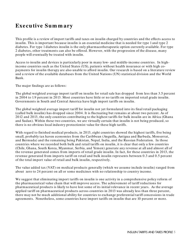# <span id="page-5-0"></span>**Exe cutive Sum m ary**

This profile is a review of import tariffs and taxes on insulin charged by countries and the effects access to insulin. This is important because insulin is an essential medicine that is needed for type 1 and type 2 diabetes. For type 1 diabetes insulin is the only pharmacotherapeutic option currently available. For type 2 diabetes, other treatments can also be offered. However, with the progression of the disease, many people will eventually be treated with insulin.

Access to insulin and devices is particularly poor in many low- and middle-income countries. In highincome countries such as the United States (US), patients without health insurance or with high copayments for insulin therapy are also unable to afford insulin. Our research is based on a literature review and a review of the available databases from the United Nations (UN) statistical division and the World Bank.

The major findings are as follows:

The global weighted average import tariff on insulin for retail sale has dropped from less than 3.5 percent in 2004 to 1.9 percent in 2013. Most countries have little or no tariffs on imported retail grade insulin. Governments in South and Central America have high import tariffs on insulin.

The global weighted average import tariff for insulin not yet formulated into its final retail packaging (called bulk insulin) has dropped since 2004. It is fluctuating but remains at about two percent. As of 2012 and 2013, the only countries contributing to the highest tariffs for bulk insulin are in Africa (Ghana and Sudan). Within these two countries, we are virtually certain that insulin is not being produced, so there is no obvious local industry protectionist value for these high tariffs.

With regard to finished medical products, in 2013, eight countries showed the highest tariffs, five being small, probably tax haven economies from the Caribbean (Anguilla, Antigua and Barbuda, Monserrat, and Bermuda) and the remaining being Pakistan, Nepal, India, and the Russian Federation. In those countries where we recorded both bulk and retail tariffs on insulin, it is clear that only a few countries (Chile, Ghana, South Korea, Myanmar, Serbia, and Yemen) generate any revenue at all and almost all of the revenue generated comes from imports of retail grade insulin. In fact, for these countries in 2013, the revenue generated from imports tariff on retail and bulk insulin represents between 0.3 and 0.5 percent of the total import value of retail and bulk insulin, respectively.

The value added tax (VAT) on medical products generally (which we assume include insulin) ranged from about zero to 24 percent on all or some medicines with no relationship to country income.

We suggest that eliminating import tariffs on insulin is one activity in a comprehensive policy reform of the pharmaceutical value chain that will improve access. The achievement of tariff reductions for pharmaceutical products is likely to have lost some of its initial relevance in recent years. As the average applied tariff on pharmaceutical products across countries in 2013 was already less than three percent, there may not be much additional ability for countries to exchange preferential tariff concessions in trade agreements. Nonetheless, some countries have import tariffs on insulin that are 10 percent or more.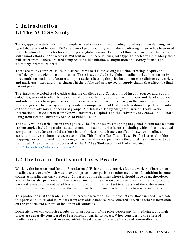## <span id="page-6-1"></span><span id="page-6-0"></span>1. **In tro ductio n** 1.1 The **ACCISS** Study

Today, approximately 100 million people around the world need insulin, including all people living with type 1 diabetes and between 10-25 percent of people with type 2 diabetes. Although insulin has been used in the treatment of diabetes for over 90 years, globally more than half of those who need insulin today still cannot afford and/ or access it. Without insulin, people living with type 1 diabetes will die. Many more will suffer from diabetes-related complications, like blindness, amputation and kidney failure, and, ultimately, premature death.

There are many complex issues that affect access to this life-saving medicine, creating inequity and inefficiency in the global insulin market. These issues include the global insulin market domination by three multinational manufacturers, import duties affecting the price insulin entering different countries, and mark-ups, taxes and other charges in the public and private sector supply chains that affect the final patient price.

The innovative global study, Addressing the Challenge and Constraints of Insulin Sources and Supply (ACCISS), sets out to identify the causes of poor availability and high insulin prices and develop policies and interventions to improve access to this essential medicine, particularly in the world's most underserved regions. The three-year study involves a unique group of leading international experts as members of the study's advisory and technical groups. ACCISS is co-led by Margaret Ewen at Health Action International, David Beran from Geneva University Hospitals and the University of Geneva, and Richard Laing from Boston University School of Public Health.

The study will be carried out in three phases. The first phase was mapping the global insulin market from various angles including trade issues, patents on insulin, market issues (including which pharmaceutical companies manufacture and distribute insulin) prices, trade issues, tariffs and taxes on insulin, and current initiatives to improve access to insulin. This Insulin Tariffs and Taxes Profile is a result of the mapping work completed in phase one, and is one of several profiles on the global insulin market to be published. All profiles can be accessed on the ACCISS Study section of HAI's website: [http:/ / haiweb.org/ what-we-do/ acciss/](http://haiweb.org/what-we-do/acciss/)

#### <span id="page-6-2"></span>**1.2 The Insulin Tariffs and Taxes Profile**

Work by the International Insulin Foundation (IIF) in various countries found a variety of barriers to insulin access, one of which was its overall price in comparison to other medicines. In addition in some countries insulin was only present at 20 percent of the facilities where it should have been; therefore, availability is also problematic. The factors causing this situation are present both at international and national levels and cannot be addressed in isolation. It is important to understand the wider issues surrounding access to insulin and the path of medicines from production to administration. (1-3)

This profile looks at the trade issues that create barriers to insulin products for those in need. To create this profile on tariffs and taxes data from available databases was collected as well as other information on the imports and exports of insulin in all countries.

Domestic taxes can comprise a substantial proportion of the price people pay for medicines, and high prices are generally considered to be a principal barrier to access. When considering the effect of medicine taxes on national revenues, official breakdowns of revenue by type of commodity are not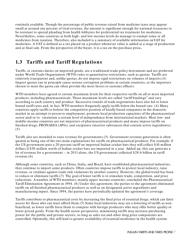routinely available. Though the percentage of public revenue raised from medicine taxes may appear small at around one percent of total revenue, the amount is significant enough for national treasuries to be resistant to special pleading from health lobbyists for preferential tax treatment for medicines. Nevertheless, some countries at both high- and low-income levels do manage to exempt some or all medicines from taxation. Therefore, also included is a summary of available information onVAT for medicines. A VAT is defined as a tax placed on a product whenever value is added at a stage of production and at final sale. From the perspective of the buyer, it is a tax on the purchase price**.**

#### <span id="page-7-0"></span>**1.3 Tariffs and Tariff Regulations**

Tariffs, or customs duties on imported goods, are a traditional trade policy instrument and are preferred under World Trade Organization (WTO) rules to quantitative restrictions, such as quotas. Tariffs are relatively transparent and, unlike quotas, do not impose rigid restrictions on volumes of imports.(4) Import quotas can in principle cause serious corruption problems in certain countries, as the importers chosen to meet the quota can often provide the most favors to customs officers.

WTO members have agreed to certain maximum levels for their respective tariffs on all or most imported products, including pharmaceuticals. These maximum levels are called "tariff bindings" and vary according to each country and product. Successive rounds of trade negotiations have also led to lower bound tariff rates and, in fact, WTO members frequently apply tariffs below the bound rate. (4) Many countries apply tariffs to bolster the competitive position of locally based companies in the domestic market in an attempt to preserve employment, promote local production capacities of the pharmaceutical sector and/ or to (maintain a certain level of independence from international markets. Most low- and middle-income countries are net importers of pharmaceutical products and many impose tariffs on finished drugs, PRONADIA (APIs), and excipients (inactive substances that contain active ingredients). (5)

Tariffs also are intended to raise revenue for governments.(5) Government revenue generation is often quoted as being one of the two main explanations for tariffs on pharmaceutical products. For example, if the US government puts a 20 percent tariff on imported Indian cricket bats they will collect \$10 million dollars if \$50 million worth of Indian cricket bats are imported in a year. Added up, this can generate a lot of revenue for a government – in 2011 alone, the US government collected \$28.6 billion in tariff revenue.(6)

Although some countries, such as China, India, and Brazil, have established pharmaceutical industries, they continue to import some products. Often countries impose tariffs to protect local industry, raise revenue, or retaliate against trade rule violations by another country. However, the global trend has been to reduce or eliminate tariffs.(7) The goal of lower tariffs is to stimulate trade, competition, and price reductions. A number of WTO members, mainly upper income countries, concluded the Pharmaceutical Tariff Elimination Agreement in 1994. (8) Under this agreement, the parties to the agreement eliminated tariffs on all finished pharmaceutical products as well as on designated active ingredients and manufacturing inputs. Since 1994, the parties have periodically updated the agreement's coverage.

Tariffs contribute to pharmaceutical costs by increasing the final price of essential drugs, which can limit access for those who can least afford them.(5) Some local industries may see a lowering of tariffs as nonbeneficial, as lower tariffs force them to compete with foreign producers who may offer better quality or lower priced goods. From the health sector perspective, minimising tariffs may increase purchasing power for the public and private sectors, so long as sales tax and other drug price components are controlled. Optimally, this will lead to greater availability of essential medicines in the health system.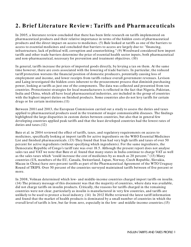# <span id="page-8-0"></span>2. Brief Literature Review: Tariffs and Pharm aceuticals

In 2005, a literature review concluded that there has been little research on tariffs implemented on pharmaceutical products and their relative importance in terms of the hidden costs of pharmaceutical products and the direct impact on access to medicines. (5) Bale looked at tariffs as one of the barriers to access to essential medicines and concluded that barriers to access are largely due to: "financing, infrastructure, lack of political will, corruption and counterfeiting." (9) Woodward considered how import tariffs and other trade barriers determine the price of essential health sector inputs, both pharmaceutical and non-pharmaceutical, necessary for prevention and treatment objectives. (10)

In general, tariffs increase the prices of imported goods directly, by levying a tax on them. At the same time however, there are costs associated with the lowering of trade barriers. In particular, the reduced tariff protection worsens the financial position of domestic producers, potentially causing loss of employment and income, and lower receipts from tariffs reduce overall government revenues. Levison and Laing investigated the hidden costs inherent to the procurement process that diminish purchasing power, looking at tariffs as just one of the components. The data was collected and presented from ten countries. Protectionist strategies for local manufacturers is reflected in the fact that Nigeria, Pakistan, India and China, which all have local pharmaceutical industries, are included in the group of countries with the highest import duties on finished products. Some countries also do not levy tariffs for certain drugs or for certain institutions.(11)

Between 2001 and 2003, the European Commission carried out a study to assess the duties and taxes applied to pharmaceutical products used in the treatment of major communicable diseases. The findings highlighted the large disparities in custom duties between countries, but also that in general few developing countries applied peak tariffs and that the least developed countries had the lowest rates of duties and taxes.(12)

Bate et al. in 2004 reviewed the effect of tariffs, taxes, and regulatory requirements on access to medicines, specifically looking at import tariffs for active ingredients on the WHO Essential Medicines List and finished pharmaceuticals. (13) They found that Iran had very high tariffs and taxes of over 50 percent for active ingredients (without specifying which ingredients). For the same ingredients, the Democratic Republic of Congo's tariff rate was over 18.5. Although the present report does not analyse sales tax and VAT we note that Bate et al. found that many states in India continue to charge VAT as well as the sales taxes which "could increase the cost of medicines by as much as 20 percent." (13) Many countries (US, members of the EU, Canada, Switzerland, J apan, Norway, Czech Republic, Slovakia, Macau in China) have zero percent tariffs as part of the Pharmaceutical Agreement of the WTO Uruguay Round of TRIPS. Over 50 percent of the countries surveyed maintained tariffs between of five percent or more.

In 2008, Volman determined which low- and middle-income countries charged import tariffs on insulin. (14) The primary message of this document was that the majority of countries, where data was available, did not charge tariffs on insulin products. Critically, the reasons for tariffs charged in the remaining countries were not clear, particularly as insulin is manufactured in very few countries, and tariffs are unlikely to be used to protect a local industry. (14) In 2012 Helbe reviewed the latest tariff information and found that the market of health products is dominated by a small number of countries in which the overall level of tariffs is low, but far from zero, especially in the low- and middle-income countries.(15)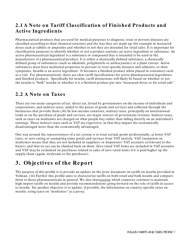#### <span id="page-9-0"></span>**2.1 A Note on Tariff Classification of Finished Products and Active In gre die n ts**

Pharmaceutical products that are used for medical purposes to diagnose, treat or prevent diseases are classified according to their chemical structure and the way they are made up (for example in measured doses such as tablets or ampoules and whether or not they are intended for retail sale). It is important for classification purposes to identify whether or not a product contains an active ingredient or substance. An active pharmaceutical ingredient is a substance or compound that is intended to be used in the manufacture of a pharmaceutical product. It is either a chemically defined substance, a chemically defined group of substances (such as alkaloids, polyphenols or anthocyanins) or a plant extract. Active substances must have medicinal properties to prevent or treat specific diseases and ailments, or their symptoms. Insulin is an active ingredient. It becomes a finished product when placed in containers such as a vial. For pharmaceuticals, there are clear tariff classifications for active pharmaceutical ingredients and finished products. Specifically for insulin, tariff distinctions will likely be based on whether or not the insulin is "bulk" insulin or whether it is a finished product put into "measured doses or for retail sale".

#### <span id="page-9-1"></span>**2.2 A Note on Taxes**

There are two main categories of tax: direct tax, levied by governments on the income of individuals and corporations, and indirect taxes, added to the prices of goods and services and collected through the businesses that provide them.(16) In low-income countries, indirect taxes, principally on international trade or on the purchase of goods and services, are major sources of government revenue. Indirect taxes, such as taxes on medicines are charged on what people buy rather than falling directly on an individual's earnings. These indirect taxes such as VAT are regressive; in that they impact the economically disadvantaged more than the economically advantaged.

One way around the repressiveness of a tax system is to treat certain goods preferentially, at lower VAT rates, or zero-rating or exempting some goods and services from VAT entirely. VAT exemption on medicines means that they are not included in suppliers' or dispensers' VAT accounts (irrelevant to the buyer), and that no tax can be claimed back on them. Zero-rated VAT items are included in VAT accounts and VAT may be reclaimed on purchases related to sales of zero-rated items if it is paid higher up the supply chain (again, irrelevant to the purchaser).

# <span id="page-9-2"></span>**3 . Obje ctive s o f the Re po rt**

The purpose of this profile is to provide an update on the prior document on tariffs on insulin provided in Volman. (14) Further this profile aims to characterise tariffs on both retail and bulk insulin and compare them to those pharmaceuticals in general. We also characterise which countries continue to maintain high import tariffs on insulin and provide recommendations going forward on the role of tariffs in access to insulin. Yet another objective is to update, if possible, the information on country-specific taxes on insulin, using taxes on "medicines" as a proxy.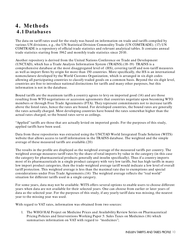#### <span id="page-10-0"></span>**4 . Me tho ds 4 .1 Database s**

The data on tariff rates used for the study was based on information on trade and tariffs compiled by various UN divisions, e.g., the UN Statistical Division Commodity Trade (UN COMTRADE). (17) UN COMTRADE is a repository of official trade statistics and relevant analytical tables. It contains annual trade statistics starting from 1962 and monthly trade statistics since 2010.

Another repository is derived from the United Nations Conference on Trade and Development (UNCTAD), which has a Trade Analysis Information System (TRAINS).(18-19) TRAINS is a comprehensive database at the most disaggregated level of (HS), covering tariff and non-tariff measures as well as import flows by origin for more than 150 countries. More specifically, the HS is an international nomenclature developed by the World Customs Organization, which is arranged in six digit codes allowing all participating countries to classify traded goods on a common basis. Beyond the six-digit level, countries are free to introduce national distinctions for tariffs and many other purposes, but this information is not in the database.

Bound tariffs are the maximum tariffs a country agrees to levy on imported good (14) and are those resulting from WTO negotiations or accession agreements that countries negotiate upon becoming WTO members or through Free Trade Agreements (FTA). They represent commitments not to increase tariffs above the listed rates, hence the rates are bound. For developed countries, the bound rates are generally the rates actually charged. Most developing countries have bound the rates somewhat higher than the actual rates charged, so the bound rates serve as ceilings.

"Applied" tariffs are those that are actually levied on imported goods. For the purposes of this study, applied tariffs have been used.

Data from these repositories was extracted using the UNCTAD World Integrated Trade Solution (WITS) website that allows access to tariff information in the TRAINS database. The weighted and the simple average of these measured tariffs are available.(20)

The results in the profile are displayed as the weighted average of the measured tariffs per country. The weighted average measures tariff rates by the share of total imports by value in the category (in this case the category for pharmaceutical products generally and insulin specifically). Thus if a country imports most of its pharmaceuticals in a single product category with very low tariffs, but has high tariffs in many low import product categories, then the trade-weighted average tariff would indicate a low level of overall tariff protection. This weighted average is less than the maximal rate due to exemptions and special considerations under Free Trade Agreements.(14) The weighted average reflects the "real world" situation for different tariffs used in a single category.

For some years, data may not be available. WITS offers several options to enable users to choose different years when data are not available for their selected years. One can choose from earlier or later years of data as the selected year. For the purposes of this study, if any yearly tariff data was missing, the nearest year to the missing year was used.

With regard to VAT rates, information was obtained from two sources:

1. The WHO/ HAI Project on Medicine Prices and Availability Review Series on Pharmaceutical Pricing Policies and Interventions Working Paper 5: Sales Taxes on Medicines (16) which summarises information on VAT with regard to "medicines";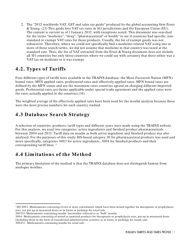2. The "2012 worldwide VAT, GST and sales tax guide" produced by the global accounting firm Ernst & Young. (21) This guide lists VAT tax rates in 101 jurisdictions and the European Union (EU). The content is current as of 1 J anuary 2012, with exceptions noted. This document was searched for the terms "medicine", "drug", "pharmaceutical" or health" to see if countries had specific, nonstandard or exempt VAT rates for these products. Usually, the list of exempt goods was not exhaustive. Therefore, where we could not specifically find a medicine-related VAT using one or more of these search terms, we did not assume that medicine in that country was taxed at the standard rate. Thus, the list of VAT extracted from the Ernst & Young document does not include all 101 countries but only those countries where we could say with certainty that there either was a VAT tax on medicine or it was exempt.

#### <span id="page-11-0"></span>**4.2. Types of Tariffs**

Four different types of tariffs were available in the TRAINS database: the Most-Favoured-Nation (MFN) bound rates, MFN applied rates, preferential rates and effectively applied rates. MFN bound rates are defined by the MFN status and are the maximum rates countries agreed on charging different imported goods. Preferential rates are duties applicable under special trade agreement and the applied rates were the rates actually applied in the countries.(14)

The weighted average of the effectively applied rates have been used for the insulin analysis because these were the most precise numbers for each country studied.

#### <span id="page-11-1"></span>**4.3 Database Search Strategy**

A selection of countries, products, tariff types and different years were made using the TRAINS website. For this analysis, we used two categories: active ingredients and finished product pharmaceuticals between 2004 and 2013. Tariff data on insulin as both active ingredient and finished product was also analysed. For the purposes of this study, HS-based category 30 for pharmaceutical products was used and more specifically, categories 3003 for active ingredients, 3004 for finished products and their corresponding tariff lines. [1](#page-11-3)

#### <span id="page-11-2"></span>**4 .4 Lim itatio n s o f the Me tho d**

l

The primary limitation of the method is that the TRAINS database does not distinguish human from analogue insulins.

<span id="page-11-3"></span><sup>1</sup> HS 3003- Medicaments consisting of two or more constituents which have been mixed together for therapeutic or prophylactic uses, not put up in measured doses or in forms or packings for retail sale.

<sup>300331-</sup> Medicaments containing insulin- hereinafter referred to as "bulk" insulin.

<sup>3004-</sup> Medicaments consisting of mixed or unmixed products for therapeutic or prophylactic uses, put up in measured doses (including those in the form of transdermal administration systems) or in forms or packings for retails sale. 300431- Medicaments containing insulin for retail sale.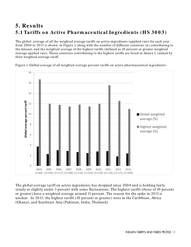# <span id="page-12-1"></span><span id="page-12-0"></span>**5. Re sults** 5.1 Tariffs on Active Pharm aceutical Ingredients (HS 3003)

The global average of all the weighted average tariffs on active ingredients (applied rate) for each year from 2004 to 2013 is shown in Figure 1, along with the number of different countries (n) contributing to the dataset, and the weighted average of the highest tariffs (defined as 10 percent or greater weighted average applied rate). Those countries contributing to the highest tariffs are listed in Annex 1, ranked by their weighted average tariff.

18 16 14 **Global average percent tariff**  Global average percent tariff 12 10 Global weighted average (%) 8 **Highest weighted** average (%)6 4 2  $\overline{0}$ 2011 2004 2005 2006 2007 2008 2009 2010 2012 2013 (n=89) (n=102) (n=117) (n=106) (n=116) (n=114) (n=119) (n=116) (n=115) (n=104)

Figure 1. Global average of all weighted average percent tariffs on active pharmaceutical ingredients.

The global average tariff on active ingredients has dropped since 2004 and is holding fairly steady at slightly under 3 percent with some fluctuations. The highest tariffs (those of 10 percent or greater) have a weighted average around 11 percent. The reason for the spike in 2011 is unclear. In 2013, the highest tariffs (10 percent or greater) were in the Caribbean, Africa (Ghana), and Southeast Asia (Pakistan, India, Thailand).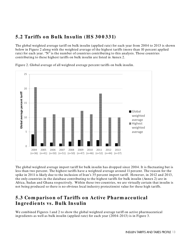#### <span id="page-13-0"></span>**5.2 Tariffs o n Bulk In sulin (H S 3 0 0 331)**

The global weighted average tariff on bulk insulin (applied rate) for each year from 2004 to 2013 is shown below in Figure 2 along with the weighted average of the highest tariffs (more than 10 percent applied rate) for each year. "N" is the number of countries contributing to this analysis. Those countries contributing to these highest tariffs on bulk insulin are listed in Annex 2.



Figure 2. Global average of all weighted average percent tariffs on bulk insulin.

The global weighted average import tariff for bulk insulin has dropped since 2004. It is fluctuating but is less than two percent. The highest tariffs have a weighted average around 11 percent. The reason for the spike in 2011 is likely due to the inclusion of Iran's 35 percent import tariff. However, in 2012 and 2013, the only countries in the database contributing to the highest tariffs for bulk insulin (Annex 2) are in Africa, Sudan and Ghana respectively. Within these two countries, we are virtually certain that insulin is not being produced so there is no obvious local industry protectionist value for these high tariffs.

#### <span id="page-13-1"></span>**5.3 Co m pariso n o f Tariffs o n Active Pharm ace utical In gre die n ts vs. Bulk In sulin**

We combined Figures 1 and 2 to show the global weighted average tariff on active pharmaceutical ingredients as well as bulk insulin (applied rate) for each year (2004-2013) is in Figure 3.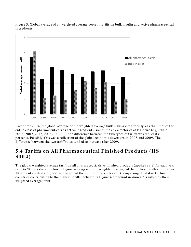

Figure 3. Global average of all weighted average percent tariffs on bulk insulin and active pharmaceutical ingredients.

Except for 2004, the global average of the weighted average bulk insulin is uniformly less than that of the entire class of pharmaceuticals as active ingredients, sometimes by a factor of at least two (e.g., 2005, 2006, 2007, 2012, 2013). In 2009, the difference between the two types of tariffs was the least (0.2 percent). Possibly, this was a reflection of the global economic downturn in 2008 and 2009. The difference between the two tariff rates tended to increase after 2009.

#### <span id="page-14-0"></span>**5.4 Tariffs on All Pharm aceutical Finished Products (HS 30 0 4 )**

The global weighted average tariff on all pharmaceuticals as finished products (applied rate) for each year (2004-2013) is shown below in Figure 4 along with the weighted average of the highest tariffs (more than 10 percent applied rate) for each year and the number of countries (n) comprising the dataset. Those countries contributing to the highest tariffs included in Figure 4 are found in Annex 3, ranked by their weighted average tariff.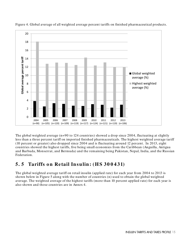

Figure 4. Global average of all weighted average percent tariffs on finished pharmaceutical products.

The global weighted average (n=90 to 124 countries) showed a drop since 2004, fluctuating at slightly less than a three percent tariff on imported finished pharmaceuticals. The highest weighted average tariff (10 percent or greater) also dropped since 2004 and is fluctuating around 12 percent. In 2013, eight countries showed the highest tariffs, five being small economies from the Caribbean (Anguilla, Antigua and Barbuda, Monserrat, and Bermuda) and the remaining being Pakistan, Nepal, India, and the Russian Federation.

#### <span id="page-15-0"></span>**5.5 Tariffs on Retail Insulin: (HS 300431)**

The global weighted average tariff on retail insulin (applied rate) for each year from 2004 to 2013 is shown below in Figure 5 along with the number of countries (n) used to obtain the global weighted average. The weighted average of the highest tariffs (more than 10 percent applied rate) for each year is also shown and those countries are in Annex 4.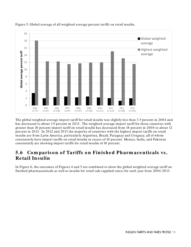

Figure 5. Global average of all weighted average percent tariffs on retail insulin.

The global weighted average import tariff for retail insulin was slightly less than 3.5 percent in 2004 and has decreased to about 1.9 percent in 2013. The weighted average import tariff for those countries with greater than 10 percent import tariff on retail insulin has decreased from 18 percent in 2004 to about 12 percent in 2013. In 2012 and 2013 the majority of countries with the highest import tariffs on retail insulin are from Latin America, particularly Argentina, Brazil, Paraguay and Uruguay, all of whom consistently have import tariffs on retail insulin in excess of 10 percent. Mexico, India, and Pakistan consistently are showing import tariffs for retail insulin of 10 percent.

#### <span id="page-16-0"></span>**5.6 Comparison of Tariffs on Finished Pharm aceuticals vs. Re tail In sulin**

In Figure 6, the outcomes of Figures 4 and 5 are combined to show the global weighted average tariff on finished pharmaceuticals as well as insulin for retail sale (applied rates) for each year from 2004-2013.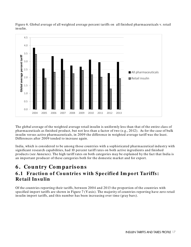

Figure 6. Global average of all weighted average percent tariffs on all finished pharmaceuticals v. retail insulin.

The global average of the weighted average retail insulin is uniformly less than that of the entire class of pharmaceuticals as finished product, but not less than a factor of two (e.g., 2012). As for the case of bulk insulin versus active pharmaceuticals, in 2009 the difference in weighted average tariff was the least. Differences after 2009 tended to increase again.

India, which is considered to be among those countries with a sophisticated pharmaceutical industry with significant research capabilities, had 10 percent tariff rates on both active ingredients and finished products (see Annexes). The high tariff rates on both categories may be explained by the fact that India is an important producer of these categories both for the domestic market and for export.

# <span id="page-17-0"></span>**6 . Co un try Co m pariso n s**

#### <span id="page-17-1"></span>**6.1 Fraction of Countries with Specified Import Tariffs: Re tail In sulin**

Of the countries reporting their tariffs, between 2004 and 2013 the proportion of the countries with specified import tariffs are shown in Figure 7 (Y axis). The majority of countries reporting have zero retail insulin import tariffs, and this number has been increasing over time (gray bars).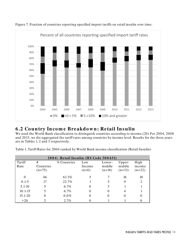

Figure 7. Fraction of countries reporting specified import tariffs on retail insulin over time.

#### <span id="page-18-0"></span>**6 .2 Co un try In co m e Bre akdo w n : Re tail In s ulin**

We used the World Bank classification to distinguish countries according to income.(20) For 2004, 2008 and 2013, we dis-aggregated the tariff rates among countries by income level. Results for the three years are in Tables 1, 2 and 3 respectively.

Table 1. Tariff Rates for 2004 ranked by World Bank income classification (Retail Insulin)

|                | 2004: Retail Insulin (HS Code 300431) |             |                          |                              |                              |                            |  |  |  |  |  |  |  |  |
|----------------|---------------------------------------|-------------|--------------------------|------------------------------|------------------------------|----------------------------|--|--|--|--|--|--|--|--|
| Tariff<br>Rate | #<br>Countries<br>$(n=75)$            | % Countries | Low<br>Income<br>$(n=6)$ | Lower-<br>middle<br>$(n=16)$ | Upper-<br>middle<br>$(n=31)$ | High<br>income<br>$(n=22)$ |  |  |  |  |  |  |  |  |
|                | 46                                    | 61.3%       |                          |                              | 16                           | 18                         |  |  |  |  |  |  |  |  |
| $0.1 - 5$      | 17                                    | 22.7%       |                          |                              | 9                            | 2                          |  |  |  |  |  |  |  |  |
| $5.1 - 10$     | 5                                     | 6.7%        |                          | 3                            |                              |                            |  |  |  |  |  |  |  |  |
| $10.1 - 15$    |                                       | $6.7\%$     |                          | $\Omega$                     | 4                            |                            |  |  |  |  |  |  |  |  |
| $15.1 - 20$    |                                       | $0.0\%$     |                          | $\Omega$                     |                              | O                          |  |  |  |  |  |  |  |  |
| >20            |                                       | 2.7%        |                          |                              |                              |                            |  |  |  |  |  |  |  |  |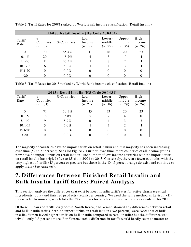| 2008: Retail Insulin (HS Code 300431) |                             |             |                           |                              |                              |                            |  |  |  |  |  |  |  |
|---------------------------------------|-----------------------------|-------------|---------------------------|------------------------------|------------------------------|----------------------------|--|--|--|--|--|--|--|
| Tariff<br>Rate                        | #<br>Countries<br>$(n=107)$ | % Countries | Low<br>Income<br>$(n=17)$ | Lower-<br>middle<br>$(n=29)$ | Upper-<br>middle<br>$(n=35)$ | High<br>income<br>$(n=26)$ |  |  |  |  |  |  |  |
| $\theta$                              | 70                          | 65.4%       | 11                        | 16                           | 20                           | 23                         |  |  |  |  |  |  |  |
| $0.1 - 5$                             | 20                          | 18.7%       | 4                         | 5                            | 10                           |                            |  |  |  |  |  |  |  |
| $5.1 - 10$                            | 11                          | $10.3\%$    |                           |                              | $\mathcal{D}$                |                            |  |  |  |  |  |  |  |
| $10.1 - 15$                           | 6                           | 5.6%        |                           |                              |                              |                            |  |  |  |  |  |  |  |
| $15.1 - 20$                           | $\Omega$                    | $0.0\%$     |                           | $\theta$                     |                              | 0                          |  |  |  |  |  |  |  |
| >20                                   |                             | $0.0\%$     |                           |                              |                              |                            |  |  |  |  |  |  |  |

Table 2. Tariff Rates for 2008 ranked by World Bank income classification (Retail Insulin)

Table 3. Tariff Rates for 2013 ranked by World Bank income classification (Retail Insulin)

| 2013: Retail Insulin (HS Code 300431) |                             |             |                           |                              |                              |                             |  |  |  |  |  |  |  |
|---------------------------------------|-----------------------------|-------------|---------------------------|------------------------------|------------------------------|-----------------------------|--|--|--|--|--|--|--|
| Tariff<br>Rate                        | #<br>Countries<br>$(n=101)$ | % Countries | Low<br>Income<br>$(n=21)$ | Lower-<br>middle<br>$(n=16)$ | Upper-<br>middle<br>$(n=29)$ | High<br>income<br>$(n=26)$  |  |  |  |  |  |  |  |
|                                       | 71                          | 70.3%       | 15                        | 13                           | 20                           | 23                          |  |  |  |  |  |  |  |
| $0.1 - 5$                             | 16                          | 15.8%       |                           |                              | 4                            | $\theta$                    |  |  |  |  |  |  |  |
| $5.1 - 10$                            | 9                           | 8.9%        |                           | 4                            |                              | $\mathcal{D}_{\mathcal{L}}$ |  |  |  |  |  |  |  |
| $10.1 - 15$                           |                             | $5.0\%$     |                           |                              |                              |                             |  |  |  |  |  |  |  |
| 15.1-20                               |                             | $0.0\%$     |                           | O                            |                              | 0                           |  |  |  |  |  |  |  |
| >20                                   |                             | $0.0\%$     |                           |                              |                              |                             |  |  |  |  |  |  |  |

The majority of countries have no import tariffs on retail insulin and this majority has been increasing over time (52 to 77 percent). See also Figure 7. Further, over time, more countries of all income groups now have no import tariffs on retail insulin. The number of low-income countries with no import tariffs on retail insulin has tripled (five to 15) from 2004 to 2013. Conversely, there are fewer countries with the very highest of tariffs (15 percent or greater) but those in the 10-15 percent range do exist and continue to apply them (See Annexes).

## <span id="page-19-0"></span>**7. Differences Between Finished Retail Insulin and Bulk In sulin Tariff Rate s: Paire d An alysis**

This section analyses the differences that exist between insulin tariff rates for active pharmaceutical ingredients (bulk) and finished products (retail) per country. We used the same method as Levison. (11) Please refer to Annex 5, which lists the 39 countries for which comparative data was available for 2013.

Of these 39 pairs of tariffs, only Serbia, South Korea, and Yemen showed any differences between retail and bulk insulin tariffs. Serbia's import tariffs on retail insulin (two percent) were twice that of bulk insulin. Yemen levied higher tariffs on bulk insulin compared to retail insulin; but the difference was trivial - only 0.3 percent more. For Yemen, such a difference in tariffs would hardly seem to matter to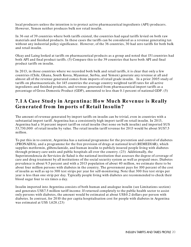local producers unless the intention is to protect active pharmaceutical ingredients (API) producers. However, Yemen neither produces bulk nor retail insulin.

In 36 out of 39 countries where both tariffs existed, the countries had equal tariffs levied on both raw materials and finished products. In these cases the tariffs can be considered as a revenue generating tax without any industrial policy significance. However, of the 36 countries, 30 had zero tariffs for both bulk and retail insulin.

Olcay and Laing looked at tariffs on pharmaceutical products as a group and noted that 151 countries had both API and final product tariffs. (5) Compare this to the 39 countries that have both API and final product tariffs on insulin.

In 2013, in those countries where we recorded both bulk and retail tariffs, it is clear that only a few countries (Chile, Ghana, South Korea, Myanmar, Serbia, and Yemen) generate any revenue at all and almost all of the revenue generated comes from imports of retail grade insulin. In a prior 2005 study of tariffs on pharmaceuticals, for 145 countries the average country weighted tariff rates for all active ingredients and finished products, and revenue generated from pharmaceutical import tariffs as a percentage of Gross Domestic Product (GDP), amounted to less than 0.1 percent of national GDP. (5)

#### <span id="page-20-0"></span>**7.1 A Case Study in Argentina: How Much Revenue is Really Generated from Imports of Retail Insulin?**

The amount of revenue generated by import tariffs on insulin can be trivial, even in countries with a substantial import tariff. Argentina has a consistently high import tariff on retail insulin. In 2013, Argentina had a 14 percent import tariff on retail insulin (but none on bulk insulin) and imported \$US 53,730,000 of retail insulin by value. The retail insulin tariff revenue for 2013 would be about \$US7.5 million.

To put this in to context, Argentina has a national programme for the prevention and control of diabetes (PRONADIA), and a programme for the free provision of drugs at national level (REMEDIAR), which supplies metformin, glibenclamide, and human insulin to publicly insured people living with diabetes through primary care units and public hospitals all over the country. (23) Additionally, the Superintendencia de Servicios de Salud is the national institution that assesses the degree of coverage of care and drug treatment by all institutions of the social security system as well as prepaid ones. Diabetes prevalence is about 9.5 percent and with a 2013 population of about 40 million, we estimate there to be about four million persons with diabetes in the country. The government pays for 100 percent of the cost of insulin as well as up to 300 test strips per year for self-monitoring. Note that 300 free test strips per year is less than one strip per day. Typically people living with diabetes are recommended to check their blood sugar four to six times a day.

Insulin imported into Argentina consists of both human and analogue insulin (see Limitations section) and generates US\$7.5 million tariff income. If returned completely to the public health sector to assist only persons with diabetes, the amount would be estimated at about US\$0.2 dollars per person with diabetes. In contrast, for 2010 the per capita hospitalisation cost for people with diabetes in Argentina was estimated at US\$ 1,628.(23)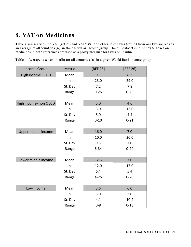# <span id="page-21-0"></span>**8 . VAT o n Me dicin e s**

Table 4 summarises the VAT (ref 21) and VAT/ GST and other sales taxes (ref 16) from our two sources as an average of all countries (n) in the particular income group. The full dataset is in Annex 6. Taxes on medicines in both references are used as a proxy measure for taxes on insulin.

| <b>Income Group</b>   | Metric       | [REF 25] | [REF 26] |
|-----------------------|--------------|----------|----------|
| High income OECD      | Mean         | 9.1      | 8.3      |
|                       | $\mathsf{n}$ | 23.0     | 29.0     |
|                       | St. Dev      | 7.2      | 7.8      |
|                       | Range        | $0 - 25$ | $0 - 25$ |
|                       |              |          |          |
| High income- non OECD | Mean         | 5.0      | 4.6      |
|                       | $\sf n$      | 3.0      | 13.0     |
|                       | St. Dev      | 5.0      | 4.4      |
|                       | Range        | $0 - 10$ | $0 - 21$ |
|                       |              |          |          |
| Upper middle income   | Mean         | 16.0     | 7.0      |
|                       | $\mathsf{n}$ | 10.0     | 20.0     |
|                       | St. Dev      | 9.5      | 7.0      |
|                       | Range        | $6 - 34$ | $0 - 24$ |
|                       |              |          |          |
| Lower middle income   | Mean         | 12.3     | 7.0      |
|                       | $\mathsf{n}$ | 12.0     | 17.0     |
|                       | St. Dev      | 6.4      | 5.4      |
|                       | Range        | $4 - 25$ | $0 - 20$ |
|                       |              |          |          |
| Low income            | Mean         | 3.6      | 6.0      |
|                       | $\mathsf{n}$ | 3.0      | 3.0      |
|                       | St. Dev      | 4.1      | 10.4     |
|                       | Range        | $0 - 8$  | $0 - 18$ |

Table 4. Average taxes on insulin for all countries (n) in a given World Bank income group.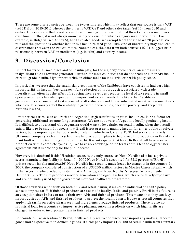There are some discrepancies between the two estimates, which may reflect that one source is only VAT (ref 21) from 2010-2012 whereas the other is VAT/ GST and other sales taxes (ref 16) from 2010 and earlier. It may also be that countries in these income groups have modified their tax rate on medicines over time. Further, it is not always immediately obvious into which category insulin would fall. For example, in Bulgaria (see Annex 6), health related goods are exempt from the standard 20 percent VAT rate and the question is whether insulin is a health related good. This kind of uncertainty may also lead to discrepancies between the two estimates. Nonetheless, the data from both sources (16, 21) suggest little relationship between VAT on medicines (e.g. insulin) and country income.

# <span id="page-22-0"></span>**9 . Discussio n/ Co n clusio n**

Import tariffs on all medicines and on insulin play, for the majority of countries, an increasingly insignificant role as revenue generator. Further, for most countries that do not produce either API insulin or retail grade insulin, high import tariffs on either make no industrial or health policy sense.

In particular, we note that the small island economies of the Caribbean have consistently had very high import tariffs on insulin (see Annexes). Any reduction of import duties, associated with trade liberalisation, often has the effect of reducing fiscal revenues because the level of tax receipts in small open economies is heavily dependent on import and export trends. It is likely that Caribbean governments are concerned that a general tariff reduction could have substantial negative revenue effects, which could seriously affect their ability to grow their economies, alleviate poverty, and keep debt burdens low.(24)

For other countries, such as Brazil and Argentina, high tariff rates on retail insulin could be a factor for generating additional revenue for governments. We are not aware of Argentina locally producing insulin. It is difficult to understand why Argentina would want to levy duties on retail insulin, when the overall gain is likely to be small. It appears that Brazil is not presently making insulin for either public or private sectors, but is importing either bulk and/ or retail insulin from Ukraine. PJSC Indar (Kyiv), the only Ukrainian company with a full cycle of insulin production, plans to begin insulin production in Brazil at a plant built with the technology of Indar in 2014. It is anticipated that by 2016 Brazil will have insulin production with a complete cycle.(25) We have no knowledge of the terms of this technology transfer agreement but it is probably for the public sector.

However, it is doubtful if this Ukrainian source is the only source, as Novo Nordisk also has a private sector manufacturing facility in Brazil. In 2007 Novo Nordisk accounted for 52.8 percent of Brazil's private sector insulin market.(26) Novo Nordisk has recently made heavy investments in the country. In 2007, the company completed construction of a US\$200 million factory in Montes Claros, Brazil, which is the largest insulin production site in Latin America, and Novo Nordisk's largest factory outside Denmark. (26) The site produces modern generation analogue insulins, which are relatively expensive and are not widely used by the government's official healthcare programmes.

Of those countries with tariffs on both bulk and retail insulin, it makes no industrial or health policy sense to impose tariffs if finished products are not made locally. India, and possibly Brazil in the future, is an exception since India can make their own APIs and finished products. This means that they can levy import duties on APIs and finished products to protect the local industry. However, not all countries that apply high tariffs on active pharmaceutical ingredients produce finished products. There is also no industrial logic for a country to import active pharmaceutical ingredients on which high tariffs are charged, in order to incorporate them in finished products.

For countries like Argentina or Brazil, tariffs actually restrict or discourage imports by making imported goods more expensive than domestic goods. If a company imports US\$100 of retail insulin from Denmark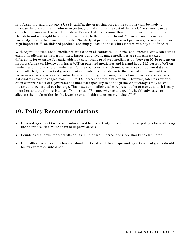into Argentina, and must pay a US\$14 tariff at the Argentina border, the company will be likely to increase the price of that insulin in Argentina, to make up for the cost of the tariff. Consumers can be expected to consume less insulin made in Denmark if it costs more than domestic insulin, even if the Danish brand is thought to be superior in quality to the domestic brand. Yet Argentina, to our best knowledge, has no local insulin industry. Similarly, at present, Brazil is not producing its own insulin so high import tariffs on finished products are simply a tax on those with diabetes who pay out of pocket.

With regard to taxes, not all medicines are taxed in all countries. Countries at all income levels sometimes exempt medicines entirely from taxes. Imports and locally made medicines are sometimes taxed differently, for example Tanzania adds no tax to locally produced medicines but between 10-16 percent on imports (Annex 6). Mexico only has a VAT on patented medicines and Ireland has a 21.5 percent VAT on medicines but none on oral medicines. For the countries in which medicine price component data has been collected, it is clear that governments are indeed a contributor to the price of medicine and thus a factor in restricting access to insulin. Estimates of the general magnitude of medicine taxes as a source of national tax revenue ranged from 0.03 to 1.66 percent of total tax revenue. However, total tax revenues often comprise most of a government's financial capability so although these percentages may be small, the amounts generated can be large. Thus taxes on medicine sales represent a lot of money and "it is easy to understand the firm resistance of Ministries of Finance when challenged by health advocates to alleviate the plight of the sick by lowering or abolishing taxes on medicines."(16)

## <span id="page-23-0"></span>**10 . Po licy Re co m m e n datio n s**

- Eliminating import tariffs on insulin should be one activity in a comprehensive policy reform all along the pharmaceutical value chain to improve access.
- Countries that have import tariffs on insulin that are 10 percent or more should be eliminated.
- Unhealthy products and behaviour should be taxed while health-promoting actions and goods should be tax-exempt or subsidised.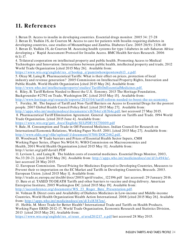# <span id="page-24-0"></span>11. References

1. Beran D. Access to insulin in developing countries. Essential drugs monitor. 2005 34: 27-28 2. Beran D, Yudkin JS, de Courten M. Access to care for patients with Insulin-requiring diabetes in developing countries, case studies of Mozambique and Zambia. Diabetes Care. 2005 28(9): 2136-40 3. Beran D, Yudkin JS, de Courten M. Assessing health systems for type 1 diabetes in sub-Saharan Africa: developing a ` Rapid Assessment Protocol for Insulin Access. BMC Health Services Research. 2006 6(1):17.

4. Trilateral cooperation on intellectual property and public health. Promoting Access to Medical Technologies and Innovation: Intersections between public health, intellectual property and trade, 2012 World Trade Organization [cited 2015 May 26]. Available from:

[https:/ / www.wto.org/ english/ res\\_ e/ booksp\\_ e/ pamtiwhowipowtoweb13\\_ e.pdf.](https://www.wto.org/english/res_e/booksp_e/pamtiwhowipowtoweb13_e.pdf)

5. Olcay M, Laing R. Pharmaceutical Tariffs: What is their effect on prices, protection of local industry and revenue generation? 2005 Commission on Intellectual Property Rights, Innovation and Public Health. World Health Organization [cited 2015 May 26]. Available from:

[http:/ / www.who.int/ intellectualproperty/ studies/ TariffsOnEssentialMedicines.pdf.](http://www.who.int/intellectualproperty/studies/TariffsOnEssentialMedicines.pdf)

6. Riley, B. Tariff Reform Needed to Boost the U.S. Eonomy. 2013 The Heritage Foundation, Backgrounder # 2792 on Trade, Washington DC. [cited 2015 May 15]. Available from:

[http:/ / www.heritage.org/ research/ reports/ 2013/ 04/ tariff-reform-needed-to-boost-the-us-economy.](http://www.heritage.org/research/reports/2013/04/tariff-reform-needed-to-boost-the-us-economy)

7. Forzley, M . The Impact of Tariff and Non-Tariff Barriers on Access to Essential Drugs for the poorest people. 2007 Global Health Council Policy Brief. [cited 2015 May 27]. Available from:

http://apps.who.int/medicinedocs/documents/s16764e/s16764e.pdf, last accessed 27 May 2015. 8. Pharmaceutical Tariff Elimination Agreement. General Agreement on Tariffs and Trade. 1994 World Trade Organization. [cited 2015 June 4]. Available from:

[https:/ / www.wto.org/ gatt\\_ docs/ English/ SULPDF/ 91770009.pdf](https://www.wto.org/gatt_docs/English/SULPDF/91770009.pdf)

9. Bale, H. Consumption and Trade in Off-Patented Medicines. Indian Council for Research on International Economic Relations, Working Paper No.65. 2001. [cited 2015 May 27]. Available from: http://www.eldis.org/ vfile/ upload/ 1/document/0708/DOC2462.pdf..

10. Woodward. W Trade barriers and Prices of Essential Health Sector Inputs, CMH Working Paper Series, (Paper No.WG4:9). WHO Commission on Macroeconomics and Health, 2001 World Health Organization.[cited 2015 May 11]. Available from: http:/ / icrier.org/ pdf/ david1.PDF

11. Levison L. and Laing R. The hidden costs of essential medicines. Essential Drugs Monitor, 2003, No.33:20-21. [cited 2015 May 28]. Available from: [http:/ / apps.who.int/ medicinedocs/ en/ d/ Js4941e/](http://apps.who.int/medicinedocs/en/d/Js4941e/) , last accessed 28 May 2015.

12. European Commission. Tiered Pricing for Medicines Exported to Developing Countries, Measures to Prevent their re-importation on the EC Market and Tariffs in Developing Countries, Brussels. 2003. European Union. [cited 2015 May 1]. Available from:

http:/ / trade.ec.europa.eu/ doclib/ docs/ 2005/ april/ tradoc\_ 122196.pdf last accessed: 29 J anuary 2016. 13. Bate et al. TAXED TO DEATH Tariffs and other barriers to vaccine and drug delivery. American Entreprise Institute, 2005 Washington DC. [cited 2015 May 19]. Available from: http://iacconference.org/documents/WS\_23\_Roger\_Bate\_Presentation.pdf.

14. Volman B. Direct costs and Availability of Diabetes Medicines in Low-income and Middle-income Countries, World Health Organization/ Health Action International. 2008 [cited 2015 May 26]. Available from: http://apps.who.int/medicinedocs/en/d/Js18387en/.

15. Heible, M. More Trade for Better Health? International Trade and Tariffs on Health Products. Working Paper ERSD-2012-17, World Trade Organization, Economic Research and Statistics Division, 2013 [cited 2015 May 28]. Available from:

https://www.wto.org/english/res\_ e/ reser\_ e/ ersd201217\_ e.pdf last accessed 28 May 2015.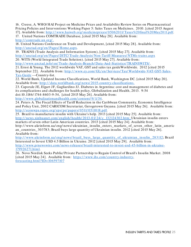16. Creese, A. WHO/ HAI Project on Medicine Prices and Availability Review Series on Pharmaceutical Pricing Policies and Interventions Working Paper 5: Sales Taxes on Medicines. 2010. [cited 2015 August 17]. Available from: [http:/ / www.haiweb.org/ medicineprices/ 05062011/ Taxes%20final%20May2011.pdf.](http://www.haiweb.org/medicineprices/05062011/Taxes%20final%20May2011.pdf)

17. United Nations COMTRADE Database, [cited 2015 May 28]. Available from:

[http:/ / comtrade.un.org/](http://comtrade.un.org/) .

18. United Nations Conference on Trade and Development, [cited 2015 May 28]. Available from: [http:/ / unctad.org/ en/ Pages/ Home.aspx.](http://unctad.org/en/Pages/Home.aspx)

19. TRAINS (Trade Analysis and Information System), [cited 2015 May 27]. Available from: [http:/ / unctad.org/ en/ Pages/ DITC/ Trade-Analysis/ Non-Tariff-Measures/ NTMs-trains.aspx](http://unctad.org/en/Pages/DITC/Trade-Analysis/Non-Tariff-Measures/NTMs-trains.aspx) 20. WITS (World Integrated Trade Solution). [cited 2015 May 27]. Available from: [http:/ / www.unctad.info/ en/ Trade-Analysis-Branch/ Data-And-Statistics/ TRAINSWITS/](http://www.unctad.info/en/Trade-Analysis-Branch/Data-And-Statistics/TRAINSWITS/) .

21. Ernst & Young. The 2012 worldwide VAT, GST and sales tax guideWorldwide. 2012 [cited 2015 September 22]. Available from: [http:/ / www.ey.com/ GL/ en/ Services/ Tax/ Worldwide-VAT-GST-Sales-](http://www.ey.com/GL/en/Services/Tax/Worldwide-VAT-GST-Sales-Tax-Guide)[Tax-Guide](http://www.ey.com/GL/en/Services/Tax/Worldwide-VAT-GST-Sales-Tax-Guide) ---Country-list.

22. World Bank, Updated Income Classifications, World Bank, Washington DC. [cited 2015 May 20]. Available from: [http:/ / data.worldbank.org/ news/ 2015-country-classifications.](http://data.worldbank.org/news/2015-country-classifications)

23. Caporale JE, Elgart JF, Gagliardino JJ. Diabetes in Argentina: cost and management of diabetes and its complications and challenges for health policy, Globalization and Health, 2013. 9:54

doi:10.1186/ 1744-8603-9-54, [cited 2015 May 26]. Available from:

[http:/ / www.globalizationandhealth.com/ content/ 9/ 1/ 54.](http://www.globalizationandhealth.com/content/9/1/54)

24. Peters A. The Fiscal Effects of Tariff Reduction in the Caribbean Community, Economic Intelligence and Policy Unit, 2002 CARICOM Secretariat, Gerogetown Guyana. [cited 2015 May 26]. Available from: http://econwpa.repec.org/eps/pe/papers/0511/0511018.pdf.

25. Brazil to manufacture insulin with Ukraine's help. 2013 [cited 2015 May 25]. Available from: http://news.xinhuanet.com/english/health/2013-01/24/c\_ 132124302.htm; Ukrainian insulin enters markets of seven other Latin American countries. 2013 [cited 2015 May 24]. Available from:

http://www.ukrinform.ua/eng/news/ukrainian\_ insulin\_enters\_markets\_ of\_ seven\_ other\_ latin\_americ an\_ countries\_ 303783; Brazil buys large quantity of Ukrainian insulin. 2012 [cited 2015 May 26]. Available from:

[http:/ / www.ukrinform.ua/ eng/ news/ brazil\\_ buys\\_ large\\_](http://www.ukrinform.ua/eng/news/brazil_buys_large_quantity_of_ukrainian_insulin_283112) quantity\_ of\_ ukrainian\_ insulin\_ 283112; Brazil Interested to Invest USD 4.5 Billion in Ukraine. 2012 [cited 2015 May 29]. Available from: [http:/ / www.prnewswire.com/ news-releases/ brazil-interested-to-invest-usd-45-billion-in-ukraine-](http://www.prnewswire.com/news-releases/brazil-interested-to-invest-usd-45-billion-in-ukraine-179926271.html)[179926271.html.](http://www.prnewswire.com/news-releases/brazil-interested-to-invest-usd-45-billion-in-ukraine-179926271.html)

26. Novo Nordisk Seeks Public/ Private Partnership to Regain Control of Brazil's Insulin Market. 2008 [cited 2015 May 24]. Available from: [https:/ / www.ihs.com/ country-industry](https://www.ihs.com/country-industry-forecasting.html?ID=106597107)[forecasting.html?ID=106597107](https://www.ihs.com/country-industry-forecasting.html?ID=106597107)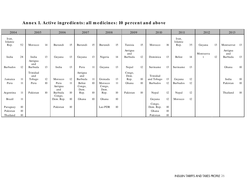<span id="page-26-0"></span>

| 2004             |    | 2005            |    | 2006              |        | 2007           |    | 2008           |    | 2009           |    | 2010                |        | 2011             |    | 2012      |    | 2013           |        |
|------------------|----|-----------------|----|-------------------|--------|----------------|----|----------------|----|----------------|----|---------------------|--------|------------------|----|-----------|----|----------------|--------|
| Iran,<br>Islamic |    |                 |    |                   |        |                |    |                |    |                |    |                     |        | Iran,<br>Islamic |    |           |    |                |        |
| Rep.             | 52 | Morocco         | 14 | Burundi           | 15     | Burundi        | 15 | Burundi        | 15 | Tunisia        | 15 | Morocco             | 16     | Rep.             | 35 | Guyana    | 13 | Montserrat     | 13     |
|                  |    |                 |    |                   |        |                |    |                |    | Antigua<br>and |    |                     |        |                  |    | Montserra |    | Antigua<br>and |        |
| India            | 28 | India           | 13 | Guyana            | 13     | Guyana         | 13 | Nigeria        | 14 | Barbuda        | 12 | Dominica            | 13     | Belize           | 14 |           | 12 | Barbuda        | 13     |
|                  |    | Antigua<br>and  |    |                   |        |                |    |                |    |                |    |                     |        |                  |    |           |    |                |        |
| Barbados         | 12 | Barbuda         | 13 | India             | 13     | Peru           | 11 | Guyana         | 13 | Nepal          | 12 | Suriname            | 13     | Suriname         | 13 |           |    | Ghana          | $10\,$ |
|                  |    | Trinidad<br>and |    |                   |        | Antigua<br>and |    |                |    | Congo,<br>Dem. |    | Trinidad            |        |                  |    |           |    |                |        |
| Jamaica          | 11 | Tobago          | 12 | Morocco           | 12     | Barbuda        | 11 | Grenada        | 13 | Rep.           | 10 | and Tobago          | 13     | Guyana           | 12 |           |    | India          | $10\,$ |
| Peru             | 11 | Peru            | 10 | Peru              | 11     | Belize         | 10 | Morocco        | 11 | Ghana          | 10 | Barbados            | 12     | Barbados         | 12 |           |    | Pakistan       | 10     |
|                  |    |                 |    | Antigua<br>and    |        | Congo,<br>Dem. |    | Congo,<br>Dem. |    |                |    |                     |        |                  |    |           |    |                |        |
| Argentina        | 11 | Pakistan        | 10 | Barbuda<br>Congo, | 10     | Rep.           | 10 | Rep.           | 10 | Pakistan       | 10 | Nepal               | 12     | Nepal            | 12 |           |    | Thailand       | 10     |
| Brazil           | 11 |                 |    | Dem. Rep.         | $10\,$ | Ghana          | 10 | Ghana          | 10 |                |    | Guyana              | 12     | Morocco          | 12 |           |    |                |        |
| Paraguay         | 10 |                 |    | Pakistan          | 10     |                |    | Lao PDR        | 10 |                |    | Congo,<br>Dem. Rep. | $10\,$ |                  |    |           |    |                |        |
| Pakistan         | 10 |                 |    |                   |        |                |    |                |    |                |    | Ghana               | 10     |                  |    |           |    |                |        |
| Thailand         | 10 |                 |    |                   |        |                |    |                |    |                |    | Pakistan            | 10     |                  |    |           |    |                |        |

#### Annex 1. Active ingredients: all medicines: 10 percent and above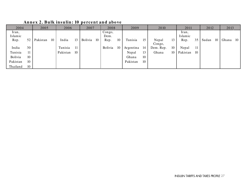<span id="page-27-0"></span>

| 2004             |    | 2005     |    | 2006     |    | 2007    |    | 2008           |    | 2009      |    | 2010            |    | 2011             |    | 2012  |    | 2013  |     |
|------------------|----|----------|----|----------|----|---------|----|----------------|----|-----------|----|-----------------|----|------------------|----|-------|----|-------|-----|
| Iran,<br>Islamic |    |          |    |          |    |         |    | Congo,<br>Dem. |    |           |    |                 |    | Iran,<br>Islamic |    |       |    |       |     |
| Rep.             | 52 | Pakistan | 10 | India    | 13 | Bolivia | 10 | Rep.           | 10 | Tunisia   | 15 | Nepal<br>Congo, | 13 | Rep.             | 35 | Sudan | 10 | Ghana | -10 |
| India            | 30 |          |    | Tunisia  | 11 |         |    | Bolivia        | 10 | Argentina | 14 | Dem. Rep.       | 10 | Nepal            | 11 |       |    |       |     |
| Tunisia          |    |          |    | Pakistan | 10 |         |    |                |    | Nepal     | 13 | Ghana           | 10 | Pakistan         | 10 |       |    |       |     |
| Bolivia          | 10 |          |    |          |    |         |    |                |    | Ghana     | 10 |                 |    |                  |    |       |    |       |     |
| Pakistan         | 10 |          |    |          |    |         |    |                |    | Pakistan  | 10 |                 |    |                  |    |       |    |       |     |
| Thailand         | 10 |          |    |          |    |         |    |                |    |           |    |                 |    |                  |    |       |    |       |     |

#### Annex 2. Bulk insulin: 10 percent and above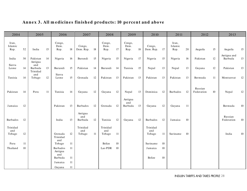#### Annex 3. All medicines finished products: 10 percent and above

<span id="page-28-0"></span>

| 2004                      |        | 2005                       |        | 2006                       |        | 2007                      |        | 2008                      |                  | 2009                   |    | 2010                      |        | 2011                     | 2012 |                       |    |                        |        |
|---------------------------|--------|----------------------------|--------|----------------------------|--------|---------------------------|--------|---------------------------|------------------|------------------------|----|---------------------------|--------|--------------------------|------|-----------------------|----|------------------------|--------|
| Iran,<br>Islamic<br>Rep.  | 52     | India                      | 15     | Congo,<br>Dem.<br>Rep.     | 18     | Congo,<br>Dem. Rep.       | $18\,$ | Congo,<br>Dem.<br>Rep.    | 17               | Congo,<br>Dem.<br>Rep. | 18 | Congo,<br>Dem. Rep.       | $17\,$ | Iran,<br>Islamic<br>Rep. | 20   | Anguila               | 15 | Anguila                | 15     |
| India                     | 30     | Pakistan<br>Antigua        | 14     | Nigeria                    | 16     | Burundi                   | 15     | Nigeria                   | 15               | Nigeria                | 17 | Nigeria                   | 15     | Nigeria                  | 16   | Pakistan              | 12 | Antigua and<br>Barbuda | 13     |
| Sierra<br>Leone           | 14     | and<br>Barbuda<br>Trinidad | 13     | Burundi                    | 15     | Pakistan                  | 14     | Burundi                   | 14               | Tunisia                | 15 | Nepal                     | 13     | Nepal                    | 13   | Guyana                | 12 | Pakistan               | 13     |
| Tunisia                   | 14     | and<br>Tobago              | $12\,$ | Sierra<br>Leone            | 15     | Grenada                   | 12     | Pakistan                  | 13               | Pakistan               | 13 | Pakistan                  | 13     | Pakistan                 | 13   | Bermuda               | 11 | Montserrat             | 12     |
| Pakistan                  | 14     | Peru                       | 11     | Tunisia                    | 14     | Guyana                    | 12     | Guyana                    | 12               | Nepal<br>Antigua       | 13 | Dominica                  | 12     | Barbados                 | 12   | Russian<br>Federation | 10 | Nepal                  | 12     |
| Jamaica                   | 12     |                            |        | Pakistan                   | 13     | Barbados                  | 12     | Grenada                   | 12               | and<br>Barbuda         | 13 | Guyana                    | 12     | Guyana                   | -11  |                       |    | Bermuda                | $10\,$ |
| Barbados                  | 12     |                            |        | India                      | 13     | Antigua<br>and<br>Barbuda | 12     | Tunisia                   | 12               | Guyana                 | 12 | Barbados                  | 12     | Jamaica                  | 10   |                       |    | Russian<br>Federation  | $10\,$ |
| Trinidad<br>and<br>Tobago | 12     |                            |        | Grenada<br>Trinidad        | 12     | Trinidad<br>and<br>Tobago | 11     | Trinidad<br>and<br>Tobago | 11               |                        |    | Trinidad<br>and<br>Tobago | 11     | Suriname                 | 10   |                       |    | India                  | $10\,$ |
| Peru                      | 11     |                            |        | and<br>Tobago              | $11\,$ |                           |        | Belize                    | $10\,$           |                        |    | Suriname                  | $10\,$ |                          |      |                       |    |                        |        |
| Thailand                  | $10\,$ |                            |        | Barbados<br>Antigua<br>and | 11     |                           |        | Lao PDR                   | 10 <sup>10</sup> |                        |    | Jamaica                   | 10     |                          |      |                       |    |                        |        |
|                           |        |                            |        | Barbuda                    | $11\,$ |                           |        |                           |                  |                        |    | Belize                    | $10\,$ |                          |      |                       |    |                        |        |
|                           |        |                            |        | Jamaica                    | 11     |                           |        |                           |                  |                        |    |                           |        |                          |      |                       |    |                        |        |
|                           |        |                            |        | Guyana                     | $11\,$ |                           |        |                           |                  |                        |    |                           |        |                          |      |                       |    |                        |        |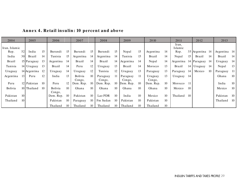<span id="page-29-0"></span>

| 2004          |                  | 2005         |    | 2006              |    | 2007              |    | 2008               |    | 2009               |    | 2010              |    | 2011             |     | 2012          |     | 2013          |        |
|---------------|------------------|--------------|----|-------------------|----|-------------------|----|--------------------|----|--------------------|----|-------------------|----|------------------|-----|---------------|-----|---------------|--------|
| Iran, Islamic |                  |              |    |                   |    |                   |    |                    |    |                    |    |                   |    | Iran,<br>Islamic |     |               |     |               |        |
| Rep.          | 52               | India        | 15 | Burundi           | 15 | Burundi           | 15 | Burundi            | 15 | Nepal              | 15 | Argentina         | 14 | Rep.             |     | 35 Argentina  | -14 | Argentina 14  |        |
| India         | 30 <sup>-1</sup> | Brazil       | 14 | Tunisia           | 15 | Argentina         | 14 | Argentina          | 14 | Tunisia            | 15 | <b>Brazil</b>     | 14 | Nepal            | 15  | <b>Brazil</b> | 14  | <b>Brazil</b> | 14     |
| <b>Brazil</b> |                  | 15 Paraguay  | 13 | Argentina         | 14 | Brazil            | 14 | Brazil             |    | 14 Argentina       | 14 | Nepal             | 14 | Argentina        |     | 14 Paraguay   | -14 | Uruguay       | -14    |
| Tunisia       |                  | 14 Uruguay   | 13 | Brazil            | 14 | Peru              | 12 | Uruguay            | 13 | <b>Brazil</b>      | 14 | Morocco           | 13 | <b>Brazil</b>    |     | 14 Uruguay    | 14  | Nepal         | 13     |
| Uruguay       |                  | 14 Argentina | 12 | Uruguay           | 14 | Uruguay           | 12 | Tunisia            | 12 | Uruguay            | 13 | Paraguay          | 13 | Paraguay         | 14  | Mexico        | 10  | Paraguay      | 11     |
| Argentina     | 13 <sup>1</sup>  | Peru         | 12 | India             | 13 | Bolivia<br>Congo, | 10 | Paraguay<br>Congo, | 11 | Paraguay<br>Congo, | 11 | Uruguay<br>Congo, | 13 | Uruguay          | 14  |               |     | Ghana         | 10     |
| Peru          |                  | 12 Pakistan  | 10 | Peru              | 12 | Dem. Rep.         | 10 | Dem. Rep.          | 10 | Dem. Rep.          | 10 | Dem. Rep.         | 10 | Morocco          | -11 |               |     | India         | $10\,$ |
| Bolivia       |                  | 10 Thailand  | 10 | Bolivia<br>Congo, | 10 | Ghana             | 10 | Ghana              | 10 | Ghana              | 10 | Ghana             | 10 | Mexico           | 10  |               |     | Mexico        | 10     |
| Pakistan      | 10               |              |    | Dem. Rep.         | 10 | Pakistan          | 10 | Lao PDR            | 10 | India              | 10 | Mexico            | 10 | Thailand         | 10  |               |     | Pakistan      | -10    |
| Thailand      | 10               |              |    | Pakistan          | 10 | Paraguay          | 10 | Fm Sudan           | 10 | Pakistan           | 10 | Pakistan          | 10 |                  |     |               |     | Thailand      | -10    |
|               |                  |              |    | Thailand          | 10 | Thailand          | 10 | Thailand           | 10 | Thailand           | 10 | Thailand          | 10 |                  |     |               |     |               |        |

Annex 4. Retail insulin: 10 percent and above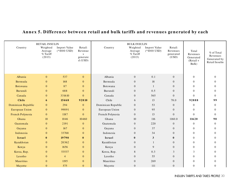<span id="page-30-0"></span>

| Country               | <b>RETAIL INSULIN</b><br>Weighted<br>Average<br>% Tariff<br>(2013) | Import Value<br>$(*1000$ USD) | Retail:<br>Revenue<br>S<br>generate<br>$d$ (USD) | Country            | <b>BULK INSULIN</b><br>Weighted<br>Average<br>$%$ Tariff<br>(2013) | Import Value<br>$(*1000 \text{ USD})$ | Retail:<br>Revenues<br>generated<br>(USD) | Total<br>Revenues<br>Generated<br>$(Retail +$<br>Bulk) | $%$ of Total<br>Revenues<br>Generated by<br>Retail Insulin |
|-----------------------|--------------------------------------------------------------------|-------------------------------|--------------------------------------------------|--------------------|--------------------------------------------------------------------|---------------------------------------|-------------------------------------------|--------------------------------------------------------|------------------------------------------------------------|
| Albania               | $\theta$                                                           | 537                           | $\mathbf{0}$                                     | Albania            | $\overline{0}$                                                     | 0.1                                   | $\overline{0}$                            | $\boldsymbol{0}$                                       | $\Omega$                                                   |
| Bermuda               | $\theta$                                                           | 168                           | $\mathbf{0}$                                     | Bermuda            | $\overline{0}$                                                     | 18                                    | $\overline{0}$                            | $\Omega$                                               | $\Omega$                                                   |
| Botswana              | $\mathbf{0}$                                                       | 87                            | $\boldsymbol{0}$                                 | Botswana           | $\overline{0}$                                                     | $\mathbf{1}$                          | $\overline{0}$                            | $\mathbf{0}$                                           | $\Omega$                                                   |
| Burundi               | $\overline{0}$                                                     | 688                           | $\boldsymbol{0}$                                 | Burundi            | $\overline{0}$                                                     | 0.5                                   | $\overline{0}$                            | $\overline{0}$                                         | $\Omega$                                                   |
| Canada                | $\Omega$                                                           | 331610                        | $\overline{0}$                                   | Canada             | $\overline{0}$                                                     | 565                                   | $\Omega$                                  | $\Omega$                                               | $\Omega$                                                   |
| Chile                 | 6                                                                  | 15468                         | 92810                                            | Chile              | 6                                                                  | 13                                    | 78.0                                      | 92888                                                  | 99                                                         |
| Dominican Republic    | $\mathbf{0}$                                                       | 294                           | $\mathbf{0}$                                     | Dominican Republic | $\overline{0}$                                                     | 53                                    | $\overline{0}$                            | $\mathbf{0}$                                           | $\overline{0}$                                             |
| <b>European Union</b> | $\theta$                                                           | 99091                         | $\overline{0}$                                   | European Union     | $\overline{0}$                                                     | 95                                    | $\Omega$                                  | $\overline{0}$                                         | $\Omega$                                                   |
| French Polynesia      | $\theta$                                                           | 1187                          | $\overline{0}$                                   | French Polynesia   | $\overline{0}$                                                     | 13                                    | $\Omega$                                  | $\Omega$                                               | $\Omega$                                                   |
| Ghana                 | $10\,$                                                             | 1046                          | 10460                                            | Ghana              | 10                                                                 | 116                                   | 1160.0                                    | 11620                                                  | 90                                                         |
| Guatemala             | $\mathbf{0}$                                                       | 2191                          | $\mathbf{0}$                                     | Guatemala          | $\overline{0}$                                                     | 220                                   | $\overline{0}$                            | $\overline{0}$                                         | $\overline{0}$                                             |
| Guyana                | $\overline{0}$                                                     | 167                           | $\overline{0}$                                   | Guyana             | $\overline{0}$                                                     | 37                                    | $\overline{0}$                            | $\overline{0}$                                         | $\Omega$                                                   |
| Indonesia             | $\mathbf{0}$                                                       | 33768                         | $\mathbf{0}$                                     | Indonesia          | $\theta$                                                           | 34                                    | $\overline{0}$                            | $\overline{0}$                                         | $\Omega$                                                   |
| Israel                | $\mathbf{0}$                                                       | 19790                         | $\bf{0}$                                         | Israel             | $\mathbf{0}$                                                       | $\mathbf{3}$                          | $\bf{0}$                                  | $\overline{0}$                                         | $\Omega$                                                   |
| Kazakhstan            | $\mathbf{0}$                                                       | 20362                         | $\mathbf{0}$                                     | Kazakhstan         | $\overline{0}$                                                     | 1                                     | $\overline{0}$                            | $\mathbf{0}$                                           | $\Omega$                                                   |
| Kenya                 | $\theta$                                                           | 1656                          | $\mathbf{0}$                                     | Kenya              | $\overline{0}$                                                     | 9                                     | $\Omega$                                  | $\overline{0}$                                         | $\Omega$                                                   |
| Korea, Rep.           | $\mathbf{0}$                                                       | 53537                         | $\mathbf{0}$                                     | Korea, Rep.        | 8                                                                  | 0.3                                   | 3                                         | 3                                                      | $\Omega$                                                   |
| Lesotho               | $\mathbf{0}$                                                       | $\overline{4}$                | $\boldsymbol{0}$                                 | Lesotho            | $\mathbf{0}$                                                       | 55                                    | $\overline{0}$                            | $\mathbf{0}$                                           | $\Omega$                                                   |
| Mauritius             | $\mathbf{0}$                                                       | 1195                          | $\mathbf{0}$                                     | Mauritius          | $\overline{0}$                                                     | 269                                   | $\overline{0}$                            | $\mathbf{0}$                                           | $\Omega$                                                   |
| Mayotte               | $\overline{0}$                                                     | 575                           | $\overline{0}$                                   | Mayotte            | $\overline{0}$                                                     | 111                                   | $\overline{0}$                            | $\overline{0}$                                         | $\overline{0}$                                             |

#### Annex 5. Difference between retail and bulk tariffs and revenues generated by each

INSULIN TARIFFS AND TAXES PROFILE 30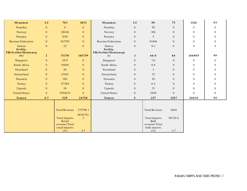| <b>Myanmar</b>            | 1.5              | 701                     | 1051           | Myanmar                               | 1.5              | 50                    | 75             | 1126             | 93       |
|---------------------------|------------------|-------------------------|----------------|---------------------------------------|------------------|-----------------------|----------------|------------------|----------|
| Namibia                   | $\mathbf{0}$     | 6                       | $\overline{0}$ | Namibia                               | $\overline{0}$   | 58                    | $\Omega$       | $\theta$         | $\Omega$ |
| Norway                    | $\mathbf{0}$     | 28046                   | $\mathbf{0}$   | Norway                                | $\overline{0}$   | 186                   | $\mathbf{0}$   | $\mathbf{0}$     | $\Omega$ |
| Panama                    | $\mathbf{0}$     | 1936                    | $\mathbf{0}$   | Panama                                | $\overline{0}$   | 5                     | $\Omega$       | $\overline{0}$   | $\theta$ |
| <b>Russian Federation</b> | $\mathbf{0}$     | 267795                  | $\overline{0}$ | <b>Russian Federation</b>             | $\overline{0}$   | 91496                 | $\mathbf{0}$   | $\mathbf{0}$     | $\theta$ |
| Samoa<br>Serbia,          | $\mathbf{0}$     | 22                      | $\mathbf{0}$   | Samoa<br>Serbia,                      | $\boldsymbol{0}$ | 0.1                   | $\overline{0}$ | $\mathbf{0}$     | $\theta$ |
| FR(Serbia/Monteneg<br>ro) | $\overline{2}$   | 73370                   | 146739         | FR(Serbia/Montenegr<br>$\mathbf{0}$ ) | $\mathbf{1}$     | 66.0                  | 66             | 146805           | 99       |
| Singapore                 | $\mathbf{0}$     | 2817                    | $\overline{0}$ | Singapore                             | $\overline{0}$   | 7.0                   | $\mathbf{0}$   | $\boldsymbol{0}$ | $\theta$ |
| South Africa              | $\mathbf{0}$     | 51008                   | $\mathbf{0}$   | South Africa                          | $\overline{0}$   | 0.9                   | $\mathbf{0}$   | $\mathbf{0}$     | $\theta$ |
| Swaziland                 | $\mathbf{0}$     | 40                      | $\overline{0}$ | Swaziland                             | $\overline{0}$   | 3                     | $\Omega$       | $\overline{0}$   | $\Omega$ |
| Switzerland               | $\mathbf{0}$     | 47401                   | $\mathbf{0}$   | Switzerland                           | $\overline{0}$   | 25                    | $\mathbf{0}$   | $\overline{0}$   | $\Omega$ |
| Tanzania                  | $\mathbf{0}$     | 386                     | $\overline{0}$ | Tanzania                              | $\overline{0}$   | 30                    | $\Omega$       | $\overline{0}$   | $\Omega$ |
| Turkey                    | $\mathbf{0}$     | 177189                  | $\mathbf{0}$   | Turkey                                | $\overline{0}$   | 0.4                   | $\mathbf{0}$   | $\mathbf{0}$     | $\Omega$ |
| Uganda                    | $\mathbf{0}$     | 56                      | $\overline{0}$ | Uganda                                | $\overline{0}$   | 35                    | $\Omega$       | $\overline{0}$   | $\theta$ |
| <b>United States</b>      | $\boldsymbol{0}$ | 3594022                 | $\overline{0}$ | <b>United States</b>                  | $\boldsymbol{0}$ | 2896                  | $\Omega$       | $\Omega$         | $\theta$ |
| Yemen                     | 4.7              | 529                     | 24738          | Yemen                                 | 5                | 257                   | 1287           | 26025            | 95       |
|                           |                  |                         |                |                                       |                  |                       |                |                  |          |
|                           |                  | <b>Total Revenue</b>    | 275798.1       |                                       |                  | <b>Total Revenue</b>  | 2669           |                  |          |
|                           |                  |                         | 4828743.       |                                       |                  |                       |                |                  |          |
|                           |                  | Total imports<br>Retail | 3              |                                       |                  | Total imports<br>Bulk | 96729.6        |                  |          |
|                           |                  | revenue/Total           |                |                                       |                  | revenue/Total         |                |                  |          |
|                           |                  | retail imports          |                |                                       |                  | bulk imports          |                |                  |          |
|                           |                  | $(\%)$                  | 5.7            |                                       |                  | $(\% )$               | 2.7            |                  |          |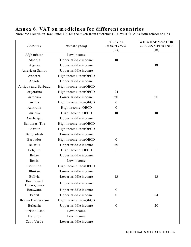#### <span id="page-32-0"></span>Annex 6. VAT on medicines for different countries

Note: VAT levels on medicines (2012) are taken from reference (21). WHO/ HAI is from reference (16)

| Economy                   | Income group         | %VAT on<br><b>MEDICINES</b><br>[21] | WHO/HAI: %VAT OR<br><b>%SALES MEDICINES</b><br>$[16]$ |
|---------------------------|----------------------|-------------------------------------|-------------------------------------------------------|
| Afghanistan               | Low income           |                                     |                                                       |
| Albania                   | Upper middle income  | 10                                  |                                                       |
| Algeria                   | Upper middle income  |                                     | 18                                                    |
| American Samoa            | Upper middle income  |                                     |                                                       |
| Andorra                   | High income: nonOECD |                                     |                                                       |
| Angola                    | Upper middle income  |                                     |                                                       |
| Antigua and Barbuda       | High income: nonOECD |                                     |                                                       |
| Argentina                 | High income: nonOECD | 21                                  |                                                       |
| Armenia                   | Lower middle income  | 20                                  | 20                                                    |
| Aruba                     | High income: nonOECD | $\boldsymbol{0}$                    |                                                       |
| Australia                 | High income: OECD    | $\boldsymbol{0}$                    |                                                       |
| Austria                   | High income: OECD    | 10                                  | 10                                                    |
| Azerbaijan                | Upper middle income  |                                     |                                                       |
| Bahamas, The              | High income: nonOECD |                                     |                                                       |
| Bahrain                   | High income: nonOECD |                                     |                                                       |
| Bangladesh                | Lower middle income  |                                     |                                                       |
| <b>Barbados</b>           | High income: nonOECD | $\boldsymbol{0}$                    |                                                       |
| <b>Belarus</b>            | Upper middle income  | 20                                  |                                                       |
| Belgium                   | High income: OECD    | 6                                   | 6                                                     |
| Belize                    | Upper middle income  |                                     |                                                       |
| Benin                     | Low income           |                                     |                                                       |
| Bermuda                   | High income: nonOECD |                                     |                                                       |
| Bhutan                    | Lower middle income  |                                     |                                                       |
| Bolivia                   | Lower middle income  | 13                                  | 13                                                    |
| Bosnia and<br>Herzegovina | Upper middle income  |                                     |                                                       |
| Botswana                  | Upper middle income  | $\boldsymbol{0}$                    |                                                       |
| <b>Brazil</b>             | Upper middle income  | $\boldsymbol{0}$                    | 24                                                    |
| Brunei Darussalam         | High income: nonOECD |                                     |                                                       |
| Bulgaria                  | Upper middle income  | $\overline{0}$                      | 20                                                    |
| Burkina Faso              | Low income           |                                     |                                                       |
| Burundi                   | Low income           |                                     |                                                       |
| Cabo Verde                | Lower middle income  |                                     |                                                       |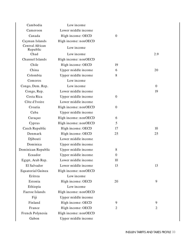| Cambodia                    | Low income           |                  |                |
|-----------------------------|----------------------|------------------|----------------|
| Cameroon                    | Lower middle income  |                  |                |
| Canada                      | High income: OECD    | $\boldsymbol{0}$ |                |
| Cayman Islands              | High income: nonOECD |                  |                |
| Central African<br>Republic | Low income           |                  |                |
| Chad                        | Low income           |                  | 2.9            |
| Channel Islands             | High income: nonOECD |                  |                |
| Chile                       | High income: OECD    | 19               |                |
| China                       | Upper middle income  | 6                | 20             |
| Colombia                    | Upper middle income  | 8                |                |
| Comoros                     | Low income           |                  |                |
| Congo, Dem. Rep.            | Low income           |                  | $\theta$       |
| Congo, Rep.                 | Lower middle income  |                  | 19             |
| Costa Rica                  | Upper middle income  | $\overline{0}$   |                |
| Côte d'Ivoire               | Lower middle income  |                  |                |
| Croatia                     | High income: nonOECD | $\overline{0}$   |                |
| Cuba                        | Upper middle income  |                  |                |
| Curaçao                     | High income: nonOECD | 6                |                |
| Cyprus                      | High income: nonOECD | 5                |                |
| Czech Republic              | High income: OECD    | 17               | 10             |
| Denmark                     | High income: OECD    | 25               | 25             |
| Djibouti                    | Lower middle income  |                  |                |
| Dominica                    | Upper middle income  |                  |                |
| Dominican Republic          | Upper middle income  | 8                |                |
| Ecuador                     | Upper middle income  | $\overline{0}$   |                |
| Egypt, Arab Rep.            | Lower middle income  | 10               |                |
| El Salvador                 | Lower middle income  | 13               | 13             |
| <b>Equatorial Guinea</b>    | High income: nonOECD |                  |                |
| Eritrea                     | Low income           |                  |                |
| Estonia                     | High income: OECD    | 20               | 9              |
| Ethiopia                    | Low income           |                  |                |
| Faeroe Islands              | High income: nonOECD |                  |                |
| Fiji                        | Upper middle income  |                  |                |
| Finland                     | High income: OECD    | 9                | 9              |
| France                      | High income: OECD    | $\overline{2}$   | $\overline{2}$ |
| French Polynesia            | High income: nonOECD |                  |                |
| Gabon                       | Upper middle income  |                  |                |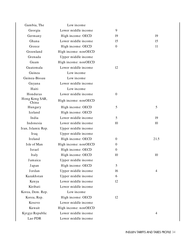| Gambia, The             | Low income           |          |      |
|-------------------------|----------------------|----------|------|
| Georgia                 | Lower middle income  | 9        |      |
| Germany                 | High income: OECD    | 19       | 19   |
| Ghana                   | Lower middle income  | 15       | 15   |
| Greece                  | High income: OECD    | $\Omega$ | 11   |
| Greenland               | High income: nonOECD |          |      |
| Grenada                 | Upper middle income  |          |      |
| Guam                    | High income: nonOECD |          |      |
| Guatemala               | Lower middle income  | 12       |      |
| Guinea                  | Low income           |          |      |
| Guinea-Bissau           | Low income           |          |      |
| Guyana                  | Lower middle income  |          |      |
| Haiti                   | Low income           |          |      |
| Honduras                | Lower middle income  | $\Omega$ |      |
| Hong Kong SAR,<br>China | High income: nonOECD |          |      |
| Hungary                 | High income: OECD    | 5        | 5    |
| Iceland                 | High income: OECD    |          |      |
| India                   | Lower middle income  | 5        | 19   |
| Indonesia               | Lower middle income  | 10       | 10   |
| Iran, Islamic Rep.      | Upper middle income  |          |      |
| Iraq                    | Upper middle income  |          |      |
| Ireland                 | High income: OECD    | $\Omega$ | 21.5 |
| Isle of Man             | High income: nonOECD | $\theta$ |      |
| Israel                  | High income: OECD    | $\Omega$ |      |
| Italy                   | High income: OECD    | 10       | 10   |
| Jamaica                 | Upper middle income  |          |      |
| Japan                   | High income: OECD    | 5        |      |
| Jordan                  | Upper middle income  | 16       | 4    |
| Kazakhstan              | Upper middle income  | 6        |      |
| Kenya                   | Lower middle income  | 12       |      |
| Kiribati                | Lower middle income  |          |      |
| Korea, Dem. Rep.        | Low income           |          |      |
| Korea, Rep.             | High income: OECD    | 12       |      |
| Kosovo                  | Lower middle income  |          |      |
| Kuwait                  | High income: nonOECD |          |      |
| Kyrgyz Republic         | Lower middle income  |          | 4    |
| Lao PDR                 | Lower middle income  |          |      |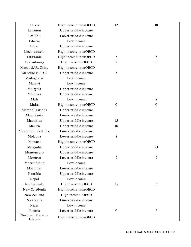| Latvia                      | High income: nonOECD | 12             | 10           |
|-----------------------------|----------------------|----------------|--------------|
| Lebanon                     | Upper middle income  |                |              |
| Lesotho                     | Lower middle income  |                |              |
| Liberia                     | Low income           |                |              |
| Libya                       | Upper middle income  |                |              |
| Liechtenstein               | High income: nonOECD |                |              |
| Lithuania                   | High income: nonOECD | 5              | 5            |
| Luxembourg                  | High income: OECD    | 3              | 3            |
| Macao SAR, China            | High income: nonOECD |                |              |
| Macedonia, FYR              | Upper middle income  | 5              |              |
| Madagascar                  | Low income           |                |              |
| Malawi                      | Low income           |                |              |
| Malaysia                    | Upper middle income  |                |              |
| Maldives                    | Upper middle income  |                |              |
| Mali                        | Low income           |                | 8            |
| Malta                       | High income: nonOECD | $\overline{0}$ | $\mathbf{0}$ |
| Marshall Islands            | Upper middle income  |                |              |
| Mauritania                  | Lower middle income  |                |              |
| Mauritius                   | Upper middle income  | 15             |              |
| Mexico                      | Upper middle income  | 16             |              |
| Micronesia, Fed. Sts.       | Lower middle income  |                |              |
| Moldova                     | Lower middle income  | 8              |              |
| Monaco                      | High income: nonOECD |                |              |
| Mongolia                    | Upper middle income  |                | 21           |
| Montenegro                  | Upper middle income  |                |              |
| Morocco                     | Lower middle income  | $\overline{7}$ | 7            |
| Mozambique                  | Low income           |                |              |
| Myanmar                     | Lower middle income  |                |              |
| Namibia                     | Upper middle income  |                |              |
| Nepal                       | Low income           |                |              |
| Netherlands                 | High income: OECD    | 15             | 6            |
| New Caledonia               | High income: nonOECD |                |              |
| New Zealand                 | High income: OECD    |                |              |
| Nicaragua                   | Lower middle income  |                |              |
| Niger                       | Low income           |                |              |
| Nigeria                     | Lower middle income  | $\theta$       | 6            |
| Northern Mariana<br>Islands | High income: nonOECD |                |              |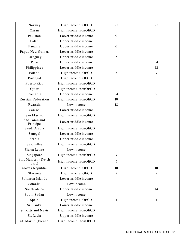| Norway                       | High income: OECD    | 25               | 25 |
|------------------------------|----------------------|------------------|----|
| Oman                         | High income: nonOECD |                  |    |
| Pakistan                     | Lower middle income  | $\boldsymbol{0}$ |    |
| Palau                        | Upper middle income  |                  |    |
| Panama                       | Upper middle income  | $\mathbf{0}$     |    |
| Papua New Guinea             | Lower middle income  |                  |    |
| Paraguay                     | Upper middle income  | 5                |    |
| Peru                         | Upper middle income  |                  | 34 |
| Philippines                  | Lower middle income  |                  | 12 |
| Poland                       | High income: OECD    | 8                | 7  |
| Portugal                     | High income: OECD    | 6                | 6  |
| Puerto Rico                  | High income: nonOECD |                  |    |
| Qatar                        | High income: nonOECD |                  |    |
| Romania                      | Upper middle income  | 24               | 9  |
| <b>Russian Federation</b>    | High income: nonOECD | 10               |    |
| Rwanda                       | Low income           | 18               |    |
| Samoa                        | Lower middle income  |                  |    |
| San Marino                   | High income: nonOECD |                  |    |
| São Tomé and<br>Principe     | Lower middle income  |                  |    |
| Saudi Arabia                 | High income: nonOECD |                  |    |
| Senegal                      | Lower middle income  |                  |    |
| Serbia                       | Upper middle income  |                  |    |
| Seychelles                   | High income: nonOECD |                  |    |
| Sierra Leone                 | Low income           |                  |    |
| Singapore                    | High income: nonOECD | 7                |    |
| Sint Maarten (Dutch<br>part) | High income: nonOECD | 5                |    |
| Slovak Republic              | High income: OECD    | 10               | 10 |
| Slovenia                     | High income: OECD    | 9                | 9  |
| Solomon Islands              | Lower middle income  |                  |    |
| Somalia                      | Low income           |                  |    |
| South Africa                 | Upper middle income  |                  | 14 |
| South Sudan                  | Low income           |                  |    |
| Spain                        | High income: OECD    | 4                | 4  |
| Sri Lanka                    | Lower middle income  |                  |    |
| St. Kitts and Nevis          | High income: nonOECD |                  |    |
| St. Lucia                    | Upper middle income  |                  |    |
| St. Martin (French           | High income: nonOECD |                  |    |